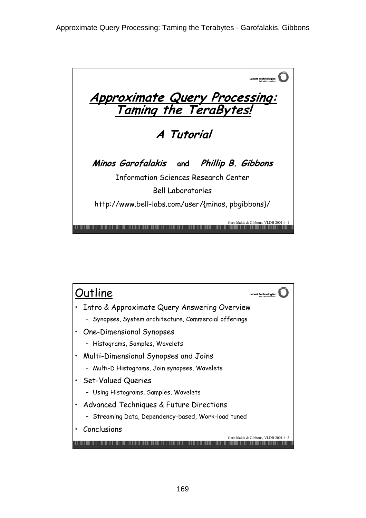

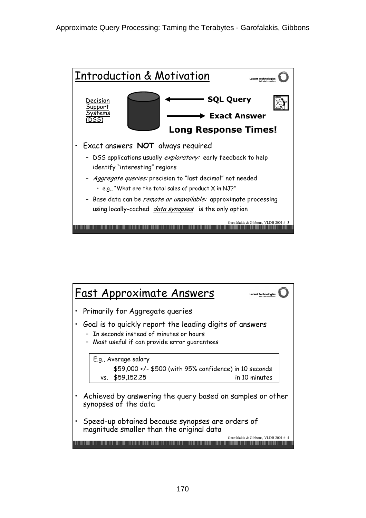

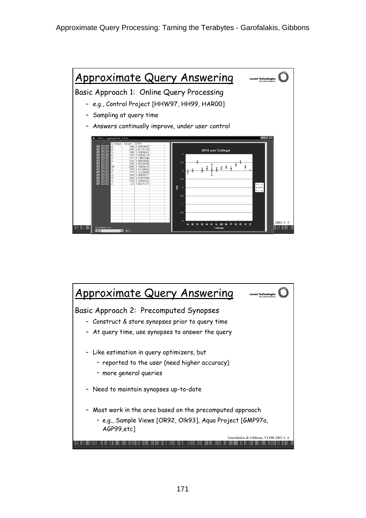

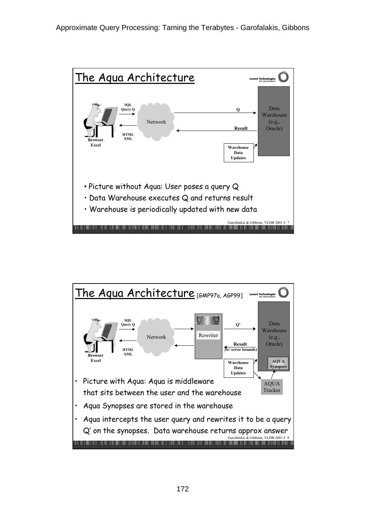

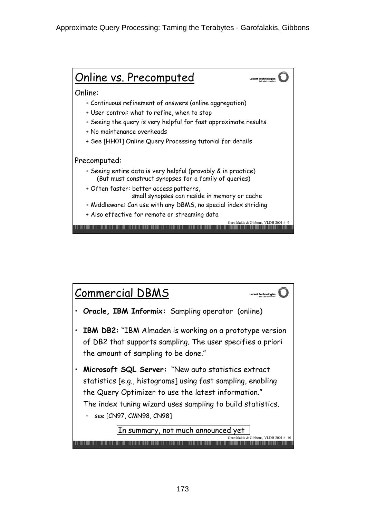

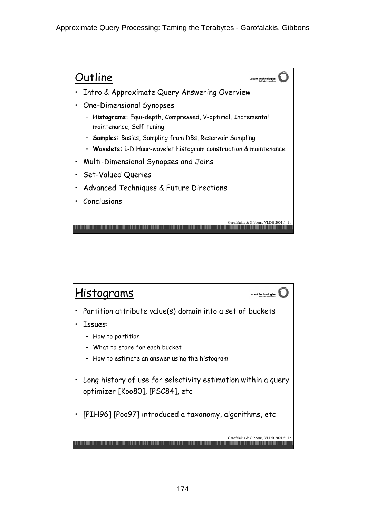

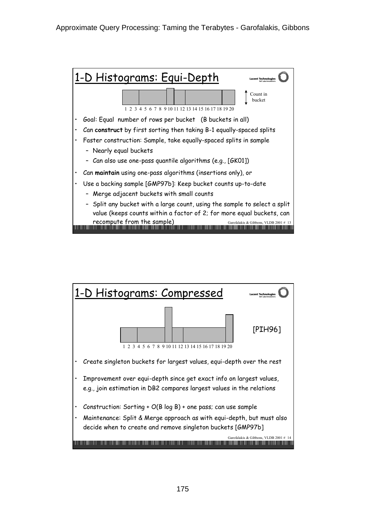

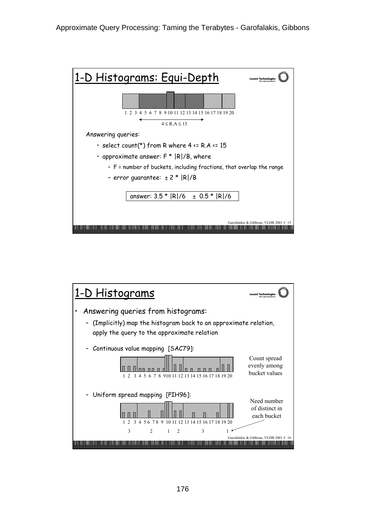

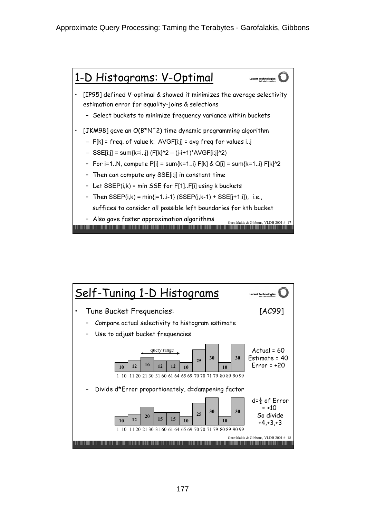

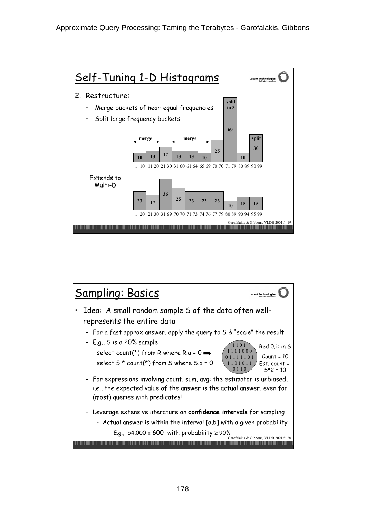

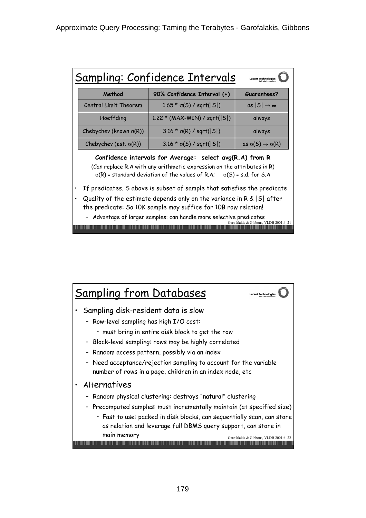|                                                                                                                                                                                                                                                                                                                        | Sampling: Confidence Intervals        | <b>Lucent Technologies</b>           |
|------------------------------------------------------------------------------------------------------------------------------------------------------------------------------------------------------------------------------------------------------------------------------------------------------------------------|---------------------------------------|--------------------------------------|
| Method                                                                                                                                                                                                                                                                                                                 | 90% Confidence Interval $(\pm)$       | Guarantees?                          |
| Central Limit Theorem                                                                                                                                                                                                                                                                                                  | $1.65 * \sigma(S) / \sqrt{sqrt(S)}$   | as ISI<br>→ ∞                        |
| Hoeffding                                                                                                                                                                                                                                                                                                              | 1.22 * (MAX-MIN) / sqrt( S )          | always                               |
| Chebychev (known $\sigma(R)$ )                                                                                                                                                                                                                                                                                         | $3.16 * \sigma(R) / \sqrt{sqrt(S)}$   | always                               |
| Chebychev (est. $\sigma(R)$ )                                                                                                                                                                                                                                                                                          | $3.16 * \sigma(S) / \sqrt{sqrt( S )}$ | as $\sigma(5) \rightarrow \sigma(R)$ |
| Confidence intervals for Average: select avg(R.A) from R<br>(Can replace R.A with any arithmetic expression on the attributes in R)<br>$\sigma(R)$ = standard deviation of the values of R.A; $\sigma(S)$ = s.d. for S.A                                                                                               |                                       |                                      |
| If predicates, S above is subset of sample that satisfies the predicate<br>Quality of the estimate depends only on the variance in $R \&  S $ after<br>the predicate: So 10K sample may suffice for 10B row relation!<br>- Advantage of larger samples: can handle more selective predicates<br>ibbons. VLDB 2001 # 21 |                                       |                                      |

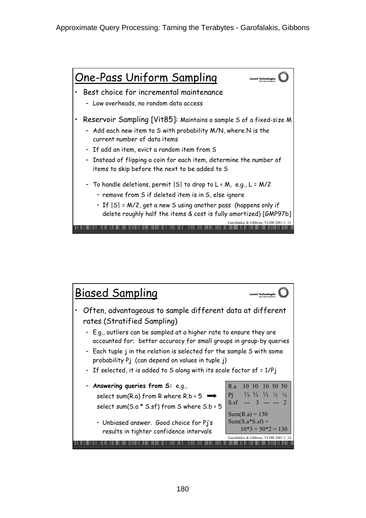

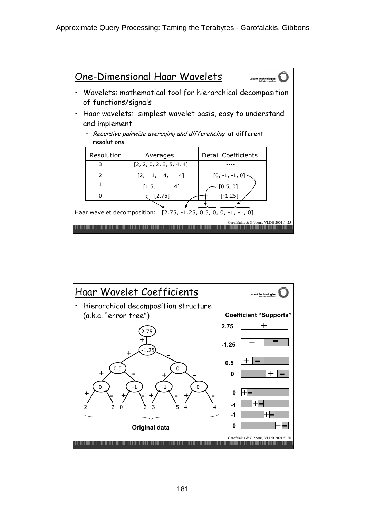

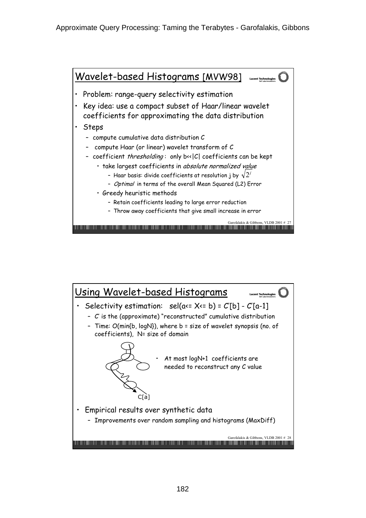

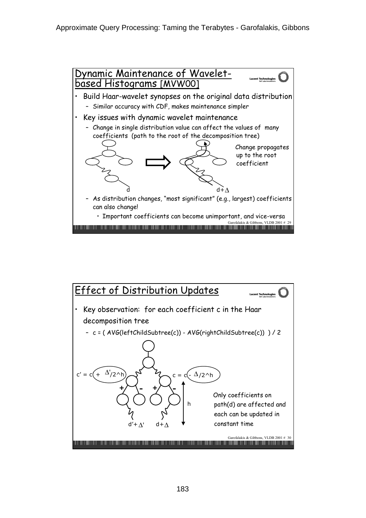

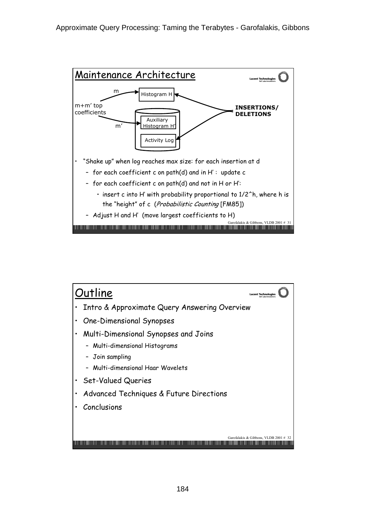

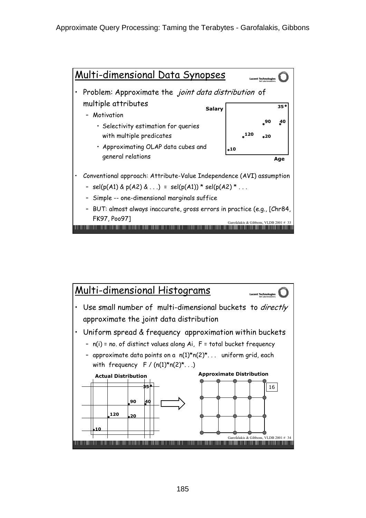

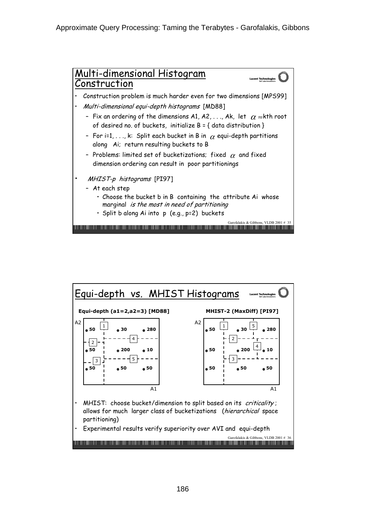

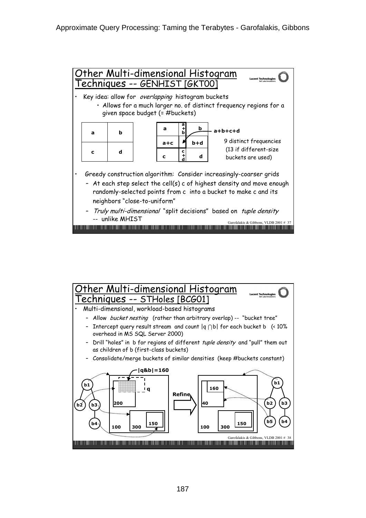

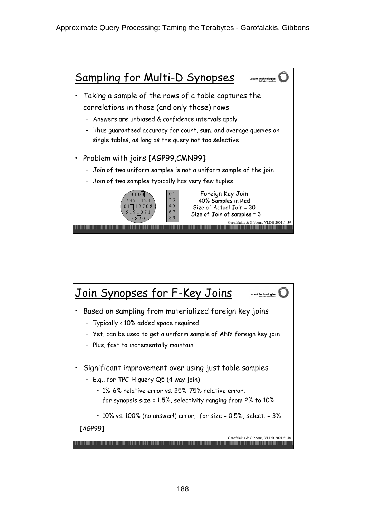

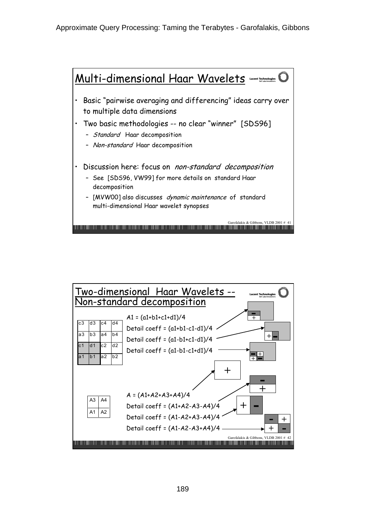

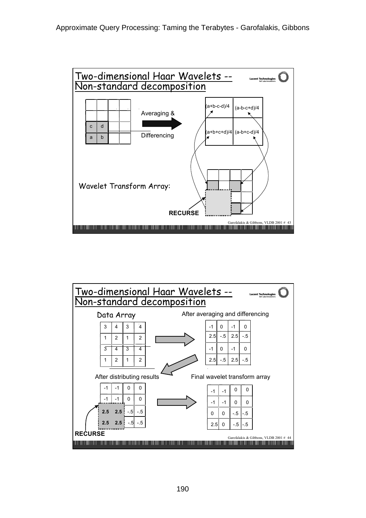

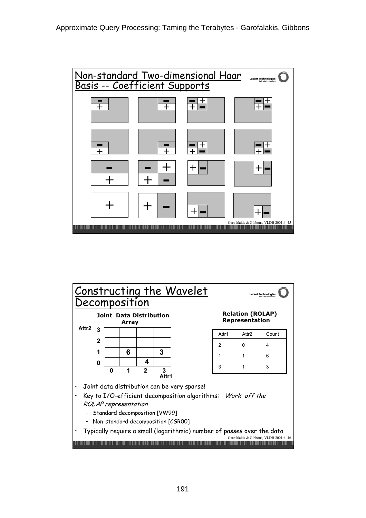

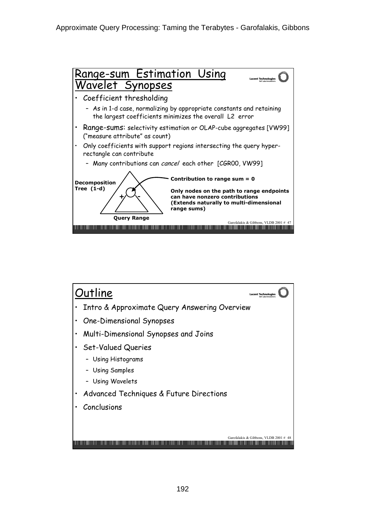

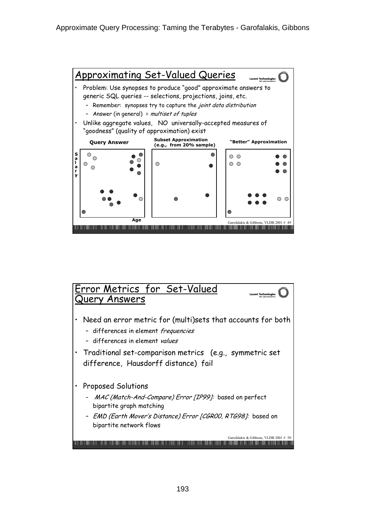

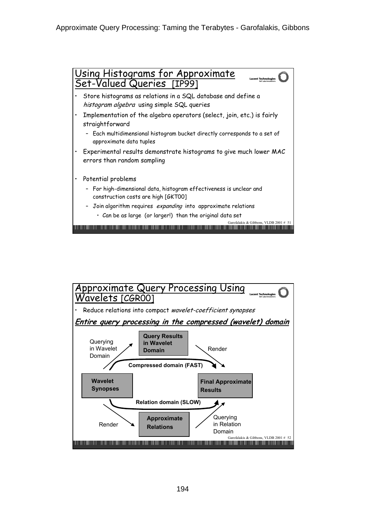

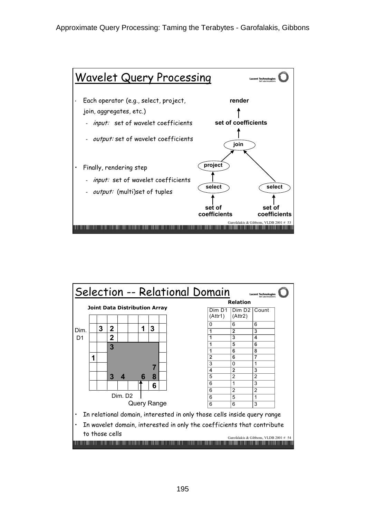

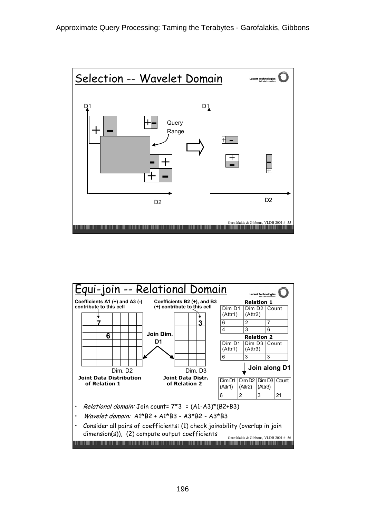

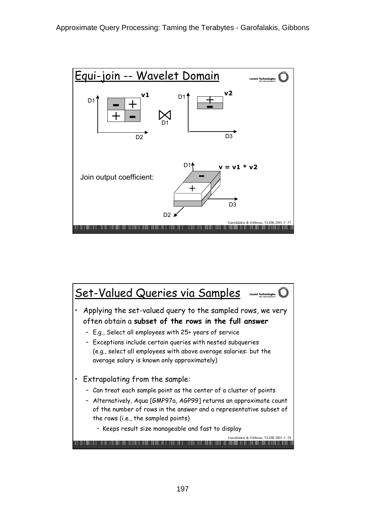

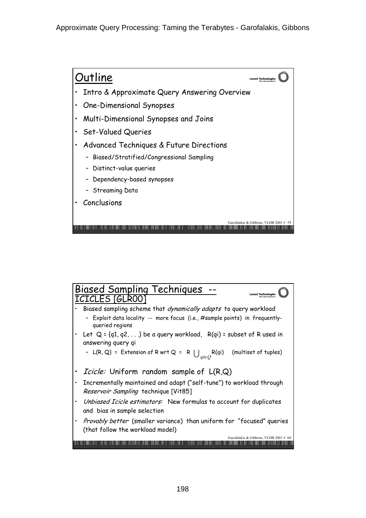

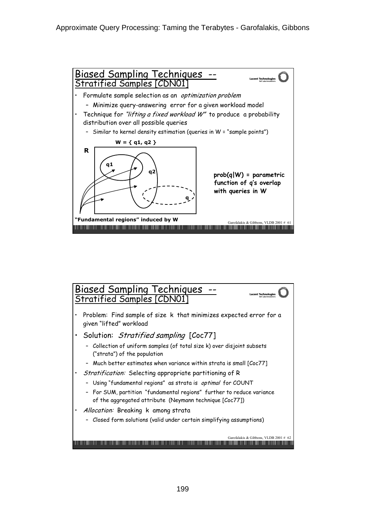

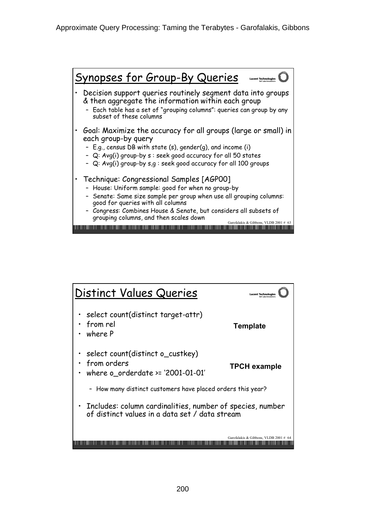

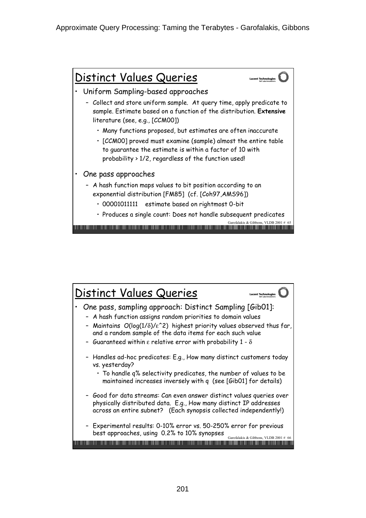

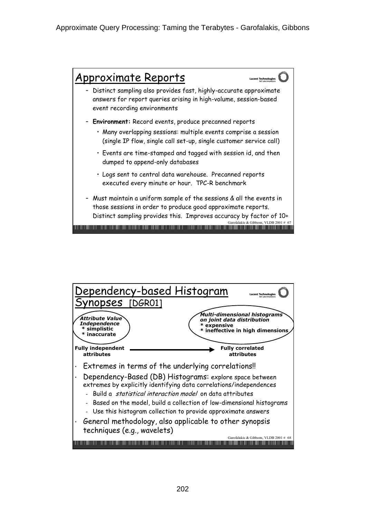

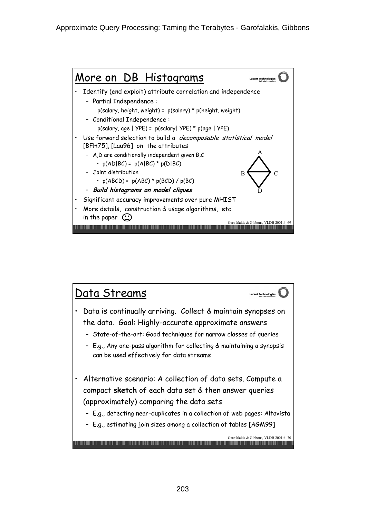

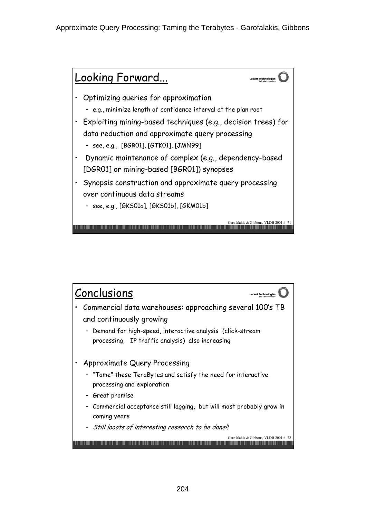

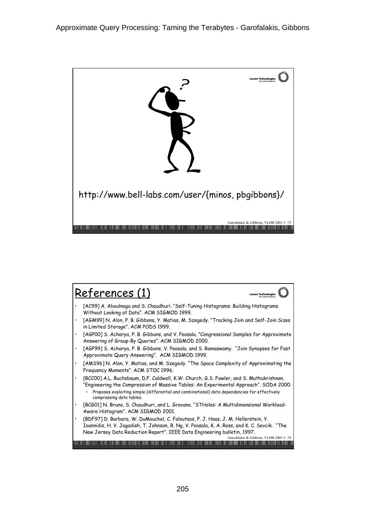

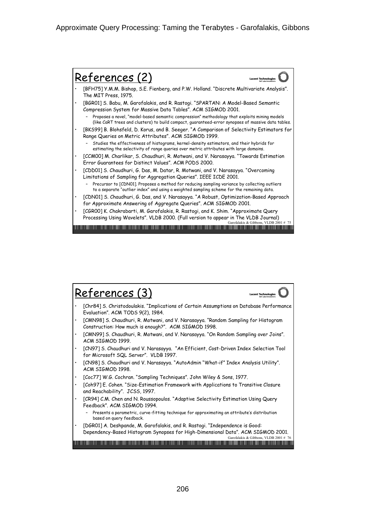

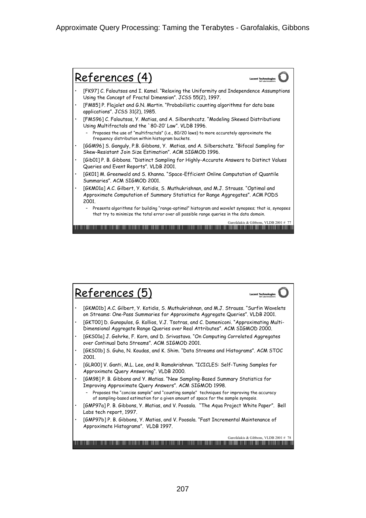

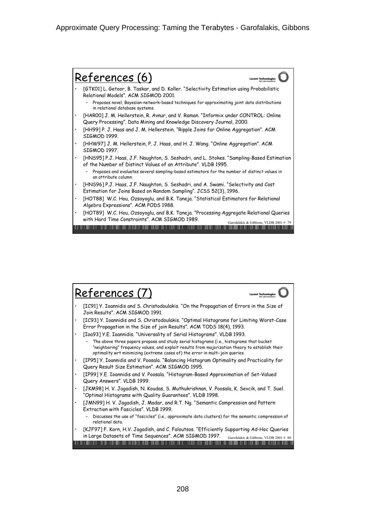

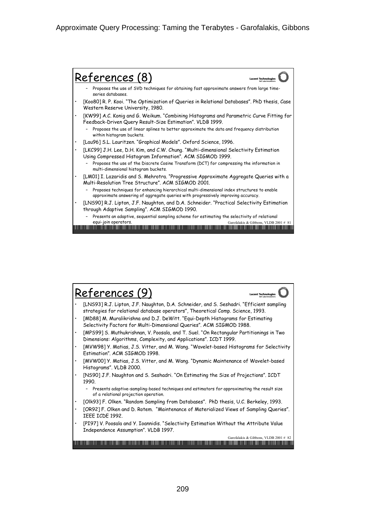

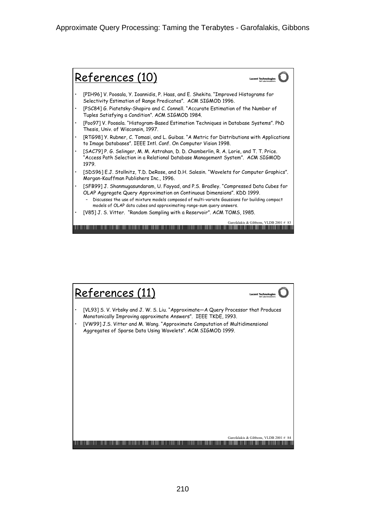

![](_page_41_Figure_2.jpeg)